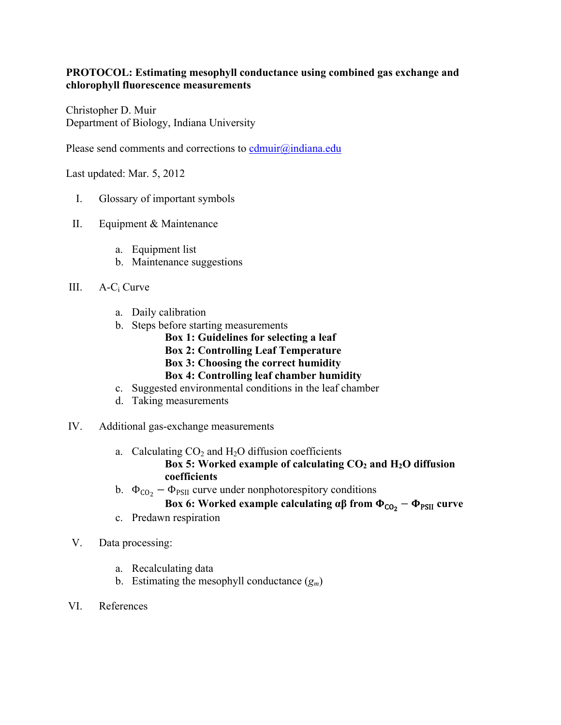### **PROTOCOL: Estimating mesophyll conductance using combined gas exchange and chlorophyll fluorescence measurements**

Christopher D. Muir Department of Biology, Indiana University

Please send comments and corrections to  $\text{cdmuir}(\hat{a})$ indiana.edu

Last updated: Mar. 5, 2012

- I. Glossary of important symbols
- II. Equipment & Maintenance
	- a. Equipment list
	- b. Maintenance suggestions
- III. A-Ci Curve
	- a. Daily calibration
	- b. Steps before starting measurements
		- **Box 1: Guidelines for selecting a leaf Box 2: Controlling Leaf Temperature Box 3: Choosing the correct humidity**
		- **Box 4: Controlling leaf chamber humidity**
	- c. Suggested environmental conditions in the leaf chamber
	- d. Taking measurements
- IV. Additional gas-exchange measurements
	- a. Calculating  $CO<sub>2</sub>$  and  $H<sub>2</sub>O$  diffusion coefficients Box 5: Worked example of calculating  $CO<sub>2</sub>$  and H<sub>2</sub>O diffusion **coefficients**
	- b.  $\Phi_{CO_2} \Phi_{PSII}$  curve under nonphotorespitory conditions

### **Box 6: Worked example calculating**  $\alpha\beta$  **from**  $\Phi_{\text{CO}_2} - \Phi_{\text{PSII}}$  **curve**

- c. Predawn respiration
- V. Data processing:
	- a. Recalculating data
	- b. Estimating the mesophyll conductance  $(g_m)$
- VI. References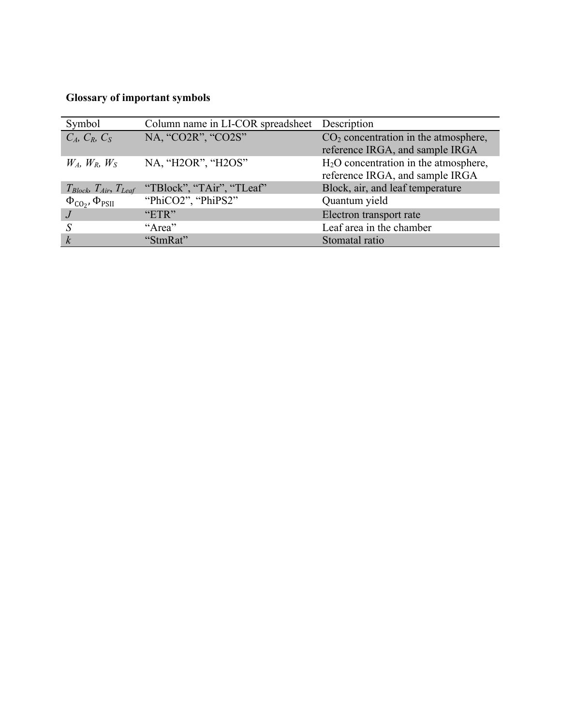# **Glossary of important symbols**

| Symbol                                      | Column name in LI-COR spreadsheet | Description                                                               |
|---------------------------------------------|-----------------------------------|---------------------------------------------------------------------------|
| $C_A$ , $C_R$ , $C_S$                       | NA, "CO2R", "CO2S"                | $CO2$ concentration in the atmosphere,<br>reference IRGA, and sample IRGA |
| $W_A$ , $W_B$ , $W_S$                       | NA, "H2OR", "H2OS"                | $H2O$ concentration in the atmosphere,<br>reference IRGA, and sample IRGA |
| $T_{Block}$ , $T_{Air}$ , $T_{Leaf}$        | "TBlock", "TAir", "TLeaf"         | Block, air, and leaf temperature                                          |
| $\Phi_{\text{CO}_2}$ , $\Phi_{\text{PSII}}$ | "PhiCO2", "PhiPS2"                | Quantum yield                                                             |
|                                             | "ETR"                             | Electron transport rate                                                   |
|                                             | "Area"                            | Leaf area in the chamber                                                  |
| $\boldsymbol{k}$                            | "StmRat"                          | Stomatal ratio                                                            |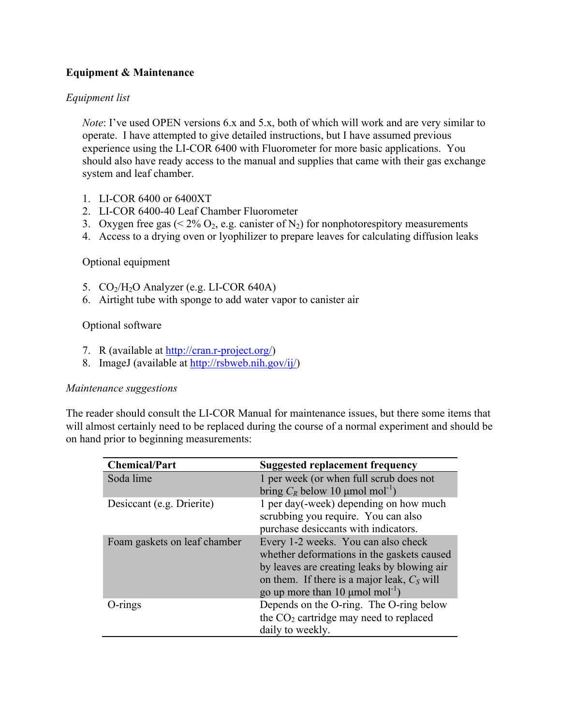### **Equipment & Maintenance**

### *Equipment list*

*Note*: I've used OPEN versions 6.x and 5.x, both of which will work and are very similar to operate. I have attempted to give detailed instructions, but I have assumed previous experience using the LI-COR 6400 with Fluorometer for more basic applications. You should also have ready access to the manual and supplies that came with their gas exchange system and leaf chamber.

- 1. LI-COR 6400 or 6400XT
- 2. LI-COR 6400-40 Leaf Chamber Fluorometer
- 3. Oxygen free gas ( $\leq 2\%$  O<sub>2</sub>, e.g. canister of N<sub>2</sub>) for nonphotorespitory measurements
- 4. Access to a drying oven or lyophilizer to prepare leaves for calculating diffusion leaks

### Optional equipment

- 5.  $CO<sub>2</sub>/H<sub>2</sub>O$  Analyzer (e.g. LI-COR 640A)
- 6. Airtight tube with sponge to add water vapor to canister air

### Optional software

- 7. R (available at http://cran.r-project.org/)
- 8. ImageJ (available at http://rsbweb.nih.gov/ij/)

### *Maintenance suggestions*

The reader should consult the LI-COR Manual for maintenance issues, but there some items that will almost certainly need to be replaced during the course of a normal experiment and should be on hand prior to beginning measurements:

| <b>Chemical/Part</b>         | <b>Suggested replacement frequency</b>           |
|------------------------------|--------------------------------------------------|
| Soda lime                    | 1 per week (or when full scrub does not          |
|                              | bring $C_R$ below 10 µmol mol <sup>-1</sup> )    |
| Desiccant (e.g. Drierite)    | 1 per day(-week) depending on how much           |
|                              | scrubbing you require. You can also              |
|                              | purchase desiccants with indicators.             |
| Foam gaskets on leaf chamber | Every 1-2 weeks. You can also check              |
|                              | whether deformations in the gaskets caused       |
|                              | by leaves are creating leaks by blowing air      |
|                              | on them. If there is a major leak, $C_s$ will    |
|                              | go up more than 10 $\mu$ mol mol <sup>-1</sup> ) |
| $O\text{-rings}$             | Depends on the O-ring. The O-ring below          |
|                              | the $CO2$ cartridge may need to replaced         |
|                              | daily to weekly.                                 |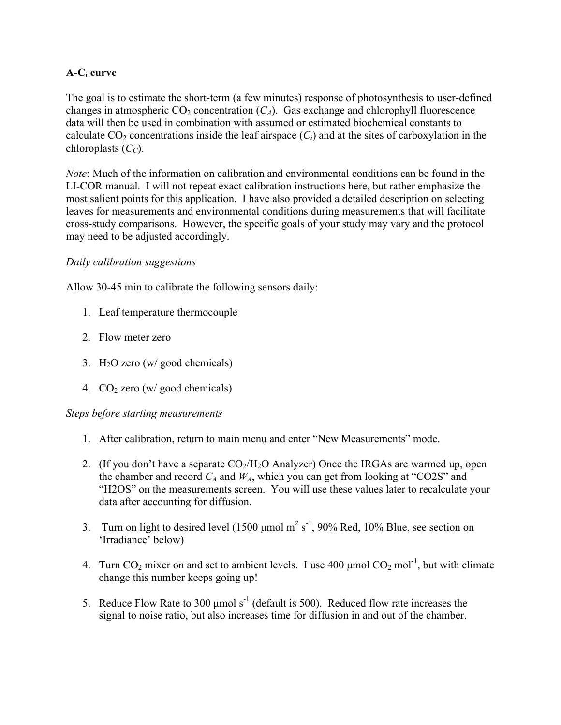### **A-Ci curve**

The goal is to estimate the short-term (a few minutes) response of photosynthesis to user-defined changes in atmospheric  $CO_2$  concentration  $(C_A)$ . Gas exchange and chlorophyll fluorescence data will then be used in combination with assumed or estimated biochemical constants to calculate  $CO_2$  concentrations inside the leaf airspace  $(C_i)$  and at the sites of carboxylation in the chloroplasts  $(C_C)$ .

*Note*: Much of the information on calibration and environmental conditions can be found in the LI-COR manual. I will not repeat exact calibration instructions here, but rather emphasize the most salient points for this application. I have also provided a detailed description on selecting leaves for measurements and environmental conditions during measurements that will facilitate cross-study comparisons. However, the specific goals of your study may vary and the protocol may need to be adjusted accordingly.

### *Daily calibration suggestions*

Allow 30-45 min to calibrate the following sensors daily:

- 1. Leaf temperature thermocouple
- 2. Flow meter zero
- 3. H2O zero (w/ good chemicals)
- 4.  $CO<sub>2</sub>$  zero (w/ good chemicals)

### *Steps before starting measurements*

- 1. After calibration, return to main menu and enter "New Measurements" mode.
- 2. (If you don't have a separate  $CO<sub>2</sub>/H<sub>2</sub>O$  Analyzer) Once the IRGAs are warmed up, open the chamber and record  $C_A$  and  $W_A$ , which you can get from looking at "CO2S" and "H2OS" on the measurements screen. You will use these values later to recalculate your data after accounting for diffusion.
- 3. Turn on light to desired level (1500  $\mu$ mol m<sup>2</sup> s<sup>-1</sup>, 90% Red, 10% Blue, see section on 'Irradiance' below)
- 4. Turn CO<sub>2</sub> mixer on and set to ambient levels. I use 400  $\mu$ mol CO<sub>2</sub> mol<sup>-1</sup>, but with climate change this number keeps going up!
- 5. Reduce Flow Rate to 300  $\mu$ mol s<sup>-1</sup> (default is 500). Reduced flow rate increases the signal to noise ratio, but also increases time for diffusion in and out of the chamber.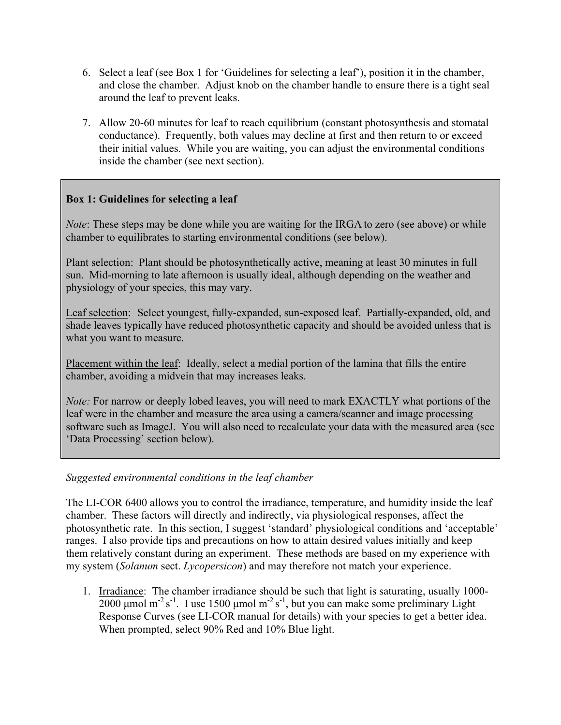- 6. Select a leaf (see Box 1 for 'Guidelines for selecting a leaf'), position it in the chamber, and close the chamber. Adjust knob on the chamber handle to ensure there is a tight seal around the leaf to prevent leaks.
- 7. Allow 20-60 minutes for leaf to reach equilibrium (constant photosynthesis and stomatal conductance). Frequently, both values may decline at first and then return to or exceed their initial values. While you are waiting, you can adjust the environmental conditions inside the chamber (see next section).

### **Box 1: Guidelines for selecting a leaf**

*Note*: These steps may be done while you are waiting for the IRGA to zero (see above) or while chamber to equilibrates to starting environmental conditions (see below).

Plant selection:Plant should be photosynthetically active, meaning at least 30 minutes in full sun. Mid-morning to late afternoon is usually ideal, although depending on the weather and physiology of your species, this may vary.

Leaf selection:Select youngest, fully-expanded, sun-exposed leaf. Partially-expanded, old, and shade leaves typically have reduced photosynthetic capacity and should be avoided unless that is what you want to measure.

Placement within the leaf:Ideally, select a medial portion of the lamina that fills the entire chamber, avoiding a midvein that may increases leaks.

*Note:* For narrow or deeply lobed leaves, you will need to mark EXACTLY what portions of the leaf were in the chamber and measure the area using a camera/scanner and image processing software such as ImageJ. You will also need to recalculate your data with the measured area (see 'Data Processing' section below).

### *Suggested environmental conditions in the leaf chamber*

The LI-COR 6400 allows you to control the irradiance, temperature, and humidity inside the leaf chamber. These factors will directly and indirectly, via physiological responses, affect the photosynthetic rate. In this section, I suggest 'standard' physiological conditions and 'acceptable' ranges. I also provide tips and precautions on how to attain desired values initially and keep them relatively constant during an experiment. These methods are based on my experience with my system (*Solanum* sect. *Lycopersicon*) and may therefore not match your experience.

1. Irradiance: The chamber irradiance should be such that light is saturating, usually 1000-  $2000 \mu$ mol m<sup>-2</sup> s<sup>-1</sup>. I use 1500  $\mu$ mol m<sup>-2</sup> s<sup>-1</sup>, but you can make some preliminary Light Response Curves (see LI-COR manual for details) with your species to get a better idea. When prompted, select 90% Red and 10% Blue light.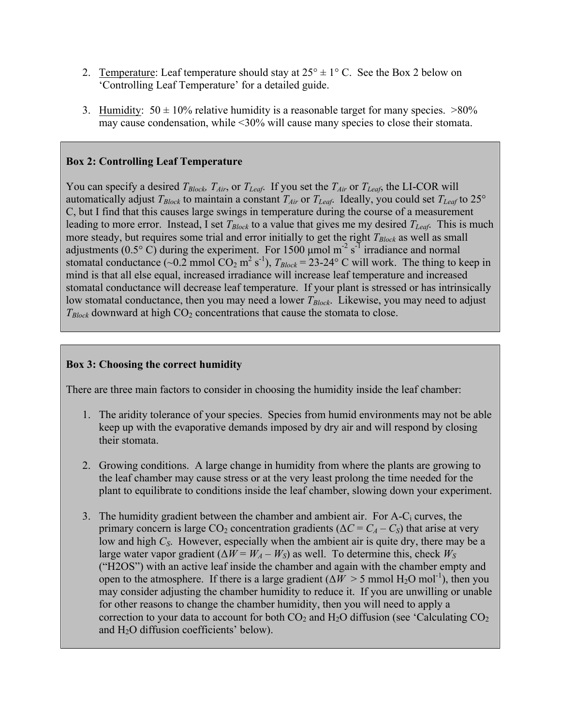- 2. Temperature: Leaf temperature should stay at  $25^{\circ} \pm 1^{\circ}$  C. See the Box 2 below on 'Controlling Leaf Temperature' for a detailed guide.
- 3. Humidity:  $50 \pm 10\%$  relative humidity is a reasonable target for many species.  $>80\%$ may cause condensation, while <30% will cause many species to close their stomata.

### **Box 2: Controlling Leaf Temperature**

You can specify a desired  $T_{Block}$ ,  $T_{Air}$ , or  $T_{Leaf}$ . If you set the  $T_{Air}$  or  $T_{Leaf}$ , the LI-COR will automatically adjust  $T_{Block}$  to maintain a constant  $T_{Air}$  or  $T_{Leaf}$ . Ideally, you could set  $T_{Leaf}$  to 25° C, but I find that this causes large swings in temperature during the course of a measurement leading to more error. Instead, I set  $T_{Block}$  to a value that gives me my desired  $T_{Leaf}$ . This is much more steady, but requires some trial and error initially to get the right  $T_{Block}$  as well as small adjustments (0.5 $\degree$  C) during the experiment. For 1500 µmol m<sup>-2</sup> s<sup>-1</sup> irradiance and normal stomatal conductance (~0.2 mmol  $CO_2$  m<sup>2</sup> s<sup>-1</sup>),  $T_{Block} = 23{\text -}24^{\circ}$  C will work. The thing to keep in mind is that all else equal, increased irradiance will increase leaf temperature and increased stomatal conductance will decrease leaf temperature. If your plant is stressed or has intrinsically low stomatal conductance, then you may need a lower *T<sub>Block</sub>*. Likewise, you may need to adjust  $T_{Block}$  downward at high  $CO<sub>2</sub>$  concentrations that cause the stomata to close.

### **Box 3: Choosing the correct humidity**

There are three main factors to consider in choosing the humidity inside the leaf chamber:

- 1. The aridity tolerance of your species. Species from humid environments may not be able keep up with the evaporative demands imposed by dry air and will respond by closing their stomata.
- 2. Growing conditions. A large change in humidity from where the plants are growing to the leaf chamber may cause stress or at the very least prolong the time needed for the plant to equilibrate to conditions inside the leaf chamber, slowing down your experiment.
- 3. The humidity gradient between the chamber and ambient air. For  $A-C_i$  curves, the primary concern is large  $CO_2$  concentration gradients ( $\Delta C = C_A - C_S$ ) that arise at very low and high *C<sub>S</sub>*. However, especially when the ambient air is quite dry, there may be a large water vapor gradient ( $\Delta W = W_A - W_S$ ) as well. To determine this, check  $W_S$ ("H2OS") with an active leaf inside the chamber and again with the chamber empty and open to the atmosphere. If there is a large gradient ( $\Delta W > 5$  mmol H<sub>2</sub>O mol<sup>-1</sup>), then you may consider adjusting the chamber humidity to reduce it. If you are unwilling or unable for other reasons to change the chamber humidity, then you will need to apply a correction to your data to account for both  $CO_2$  and  $H_2O$  diffusion (see 'Calculating  $CO_2$ ) and  $H<sub>2</sub>O$  diffusion coefficients' below).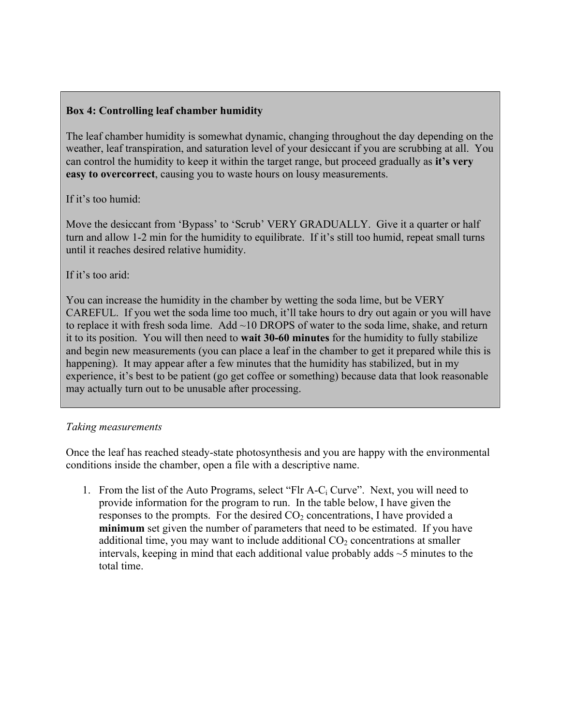### **Box 4: Controlling leaf chamber humidity**

The leaf chamber humidity is somewhat dynamic, changing throughout the day depending on the weather, leaf transpiration, and saturation level of your desiccant if you are scrubbing at all. You can control the humidity to keep it within the target range, but proceed gradually as **it's very easy to overcorrect**, causing you to waste hours on lousy measurements.

### If it's too humid:

Move the desiccant from 'Bypass' to 'Scrub' VERY GRADUALLY. Give it a quarter or half turn and allow 1-2 min for the humidity to equilibrate. If it's still too humid, repeat small turns until it reaches desired relative humidity.

### If it's too arid:

You can increase the humidity in the chamber by wetting the soda lime, but be VERY CAREFUL. If you wet the soda lime too much, it'll take hours to dry out again or you will have to replace it with fresh soda lime. Add ~10 DROPS of water to the soda lime, shake, and return it to its position. You will then need to **wait 30-60 minutes** for the humidity to fully stabilize and begin new measurements (you can place a leaf in the chamber to get it prepared while this is happening). It may appear after a few minutes that the humidity has stabilized, but in my experience, it's best to be patient (go get coffee or something) because data that look reasonable may actually turn out to be unusable after processing.

### *Taking measurements*

Once the leaf has reached steady-state photosynthesis and you are happy with the environmental conditions inside the chamber, open a file with a descriptive name.

1. From the list of the Auto Programs, select "Flr  $A-C_i$  Curve". Next, you will need to provide information for the program to run. In the table below, I have given the responses to the prompts. For the desired  $CO<sub>2</sub>$  concentrations, I have provided a **minimum** set given the number of parameters that need to be estimated. If you have additional time, you may want to include additional  $CO<sub>2</sub>$  concentrations at smaller intervals, keeping in mind that each additional value probably adds  $\sim$  5 minutes to the total time.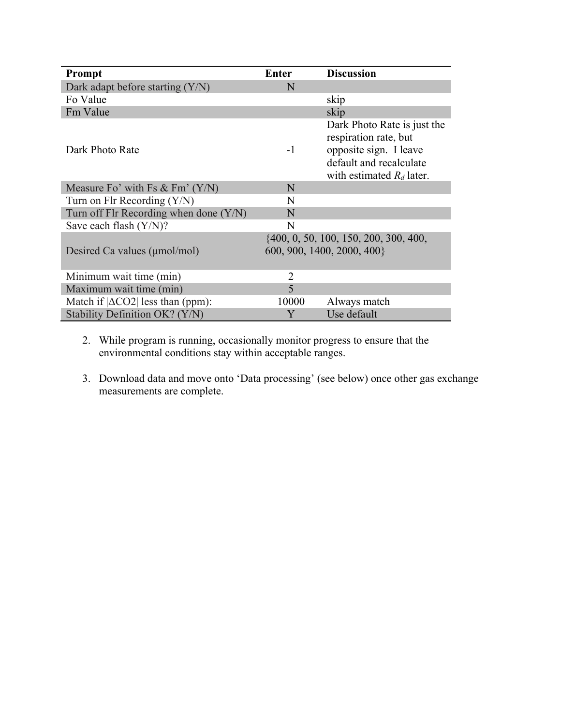| Prompt                                   | <b>Enter</b>                                                           | <b>Discussion</b>                                                                                                                        |
|------------------------------------------|------------------------------------------------------------------------|------------------------------------------------------------------------------------------------------------------------------------------|
| Dark adapt before starting $(Y/N)$       | N                                                                      |                                                                                                                                          |
| Fo Value                                 |                                                                        | skip                                                                                                                                     |
| Fm Value                                 |                                                                        | skip                                                                                                                                     |
| Dark Photo Rate                          | $-1$                                                                   | Dark Photo Rate is just the<br>respiration rate, but<br>opposite sign. I leave<br>default and recalculate<br>with estimated $R_d$ later. |
| Measure Fo' with Fs $&$ Fm' $(Y/N)$      | N                                                                      |                                                                                                                                          |
| Turn on Flr Recording $(Y/N)$            | N                                                                      |                                                                                                                                          |
| Turn off Flr Recording when done (Y/N)   | N                                                                      |                                                                                                                                          |
| Save each flash (Y/N)?                   | N                                                                      |                                                                                                                                          |
| Desired Ca values ( $\mu$ mol/mol)       | $\{400, 0, 50, 100, 150, 200, 300, 400,$<br>600, 900, 1400, 2000, 400} |                                                                                                                                          |
| Minimum wait time (min)                  | $\overline{2}$                                                         |                                                                                                                                          |
| Maximum wait time (min)                  | 5                                                                      |                                                                                                                                          |
| Match if $ \Delta CO2 $ less than (ppm): | 10000                                                                  | Always match                                                                                                                             |
| Stability Definition OK? (Y/N)           | Y                                                                      | Use default                                                                                                                              |

- 2. While program is running, occasionally monitor progress to ensure that the environmental conditions stay within acceptable ranges.
- 3. Download data and move onto 'Data processing' (see below) once other gas exchange measurements are complete.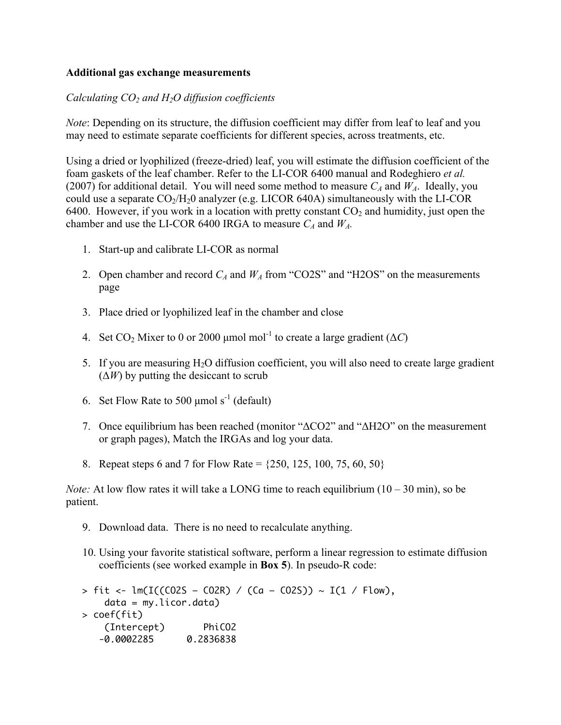### **Additional gas exchange measurements**

### *Calculating CO2 and H2O diffusion coefficients*

*Note*: Depending on its structure, the diffusion coefficient may differ from leaf to leaf and you may need to estimate separate coefficients for different species, across treatments, etc.

Using a dried or lyophilized (freeze-dried) leaf, you will estimate the diffusion coefficient of the foam gaskets of the leaf chamber. Refer to the LI-COR 6400 manual and Rodeghiero *et al.* (2007) for additional detail. You will need some method to measure  $C_A$  and  $W_A$ . Ideally, you could use a separate  $CO<sub>2</sub>/H<sub>2</sub>0$  analyzer (e.g. LICOR 640A) simultaneously with the LI-COR 6400. However, if you work in a location with pretty constant  $CO<sub>2</sub>$  and humidity, just open the chamber and use the LI-COR 6400 IRGA to measure  $C_A$  and  $W_A$ .

- 1. Start-up and calibrate LI-COR as normal
- 2. Open chamber and record  $C_A$  and  $W_A$  from "CO2S" and "H2OS" on the measurements page
- 3. Place dried or lyophilized leaf in the chamber and close
- 4. Set CO<sub>2</sub> Mixer to 0 or 2000 µmol mol<sup>-1</sup> to create a large gradient ( $\Delta C$ )
- 5. If you are measuring  $H_2O$  diffusion coefficient, you will also need to create large gradient  $(\Delta W)$  by putting the desiccant to scrub
- 6. Set Flow Rate to 500  $\mu$ mol s<sup>-1</sup> (default)
- 7. Once equilibrium has been reached (monitor "ΔCO2" and "ΔH2O" on the measurement or graph pages), Match the IRGAs and log your data.
- 8. Repeat steps 6 and 7 for Flow Rate =  $\{250, 125, 100, 75, 60, 50\}$

*Note:* At low flow rates it will take a LONG time to reach equilibrium  $(10 - 30 \text{ min})$ , so be patient.

- 9. Download data. There is no need to recalculate anything.
- 10. Using your favorite statistical software, perform a linear regression to estimate diffusion coefficients (see worked example in **Box 5**). In pseudo-R code:

 $> \text{fit} < -\text{lm(I((CO2S - CO2R) / (Ca - CO2S))} \sim I(1 / \text{Flow}),$  data = my.licor.data) > coef(fit) (Intercept) PhiCO2 -0.0002285 0.2836838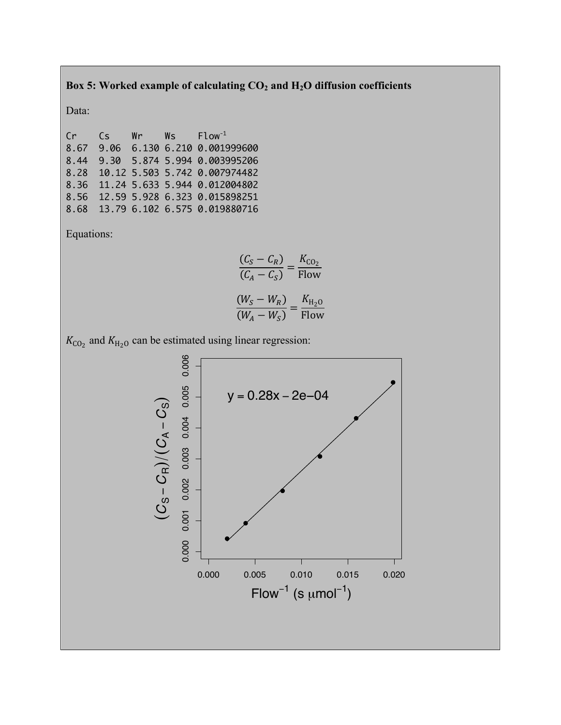### Box 5: Worked example of calculating  $CO_2$  and  $H_2O$  diffusion coefficients

Data:

Cr Cs Wr Ws Flow-1 8.67 9.06 6.130 6.210 0.001999600 8.44 9.30 5.874 5.994 0.003995206 8.28 10.12 5.503 5.742 0.007974482 8.36 11.24 5.633 5.944 0.012004802 8.56 12.59 5.928 6.323 0.015898251 8.68 13.79 6.102 6.575 0.019880716

Equations:

$$
\frac{(C_S - C_R)}{(C_A - C_S)} = \frac{K_{CO_2}}{\text{Flow}}
$$

$$
\frac{(W_S - W_R)}{(W_A - W_S)} = \frac{K_{H_2O}}{\text{Flow}}
$$

 $K_{\text{CO}_2}$  and  $K_{\text{H}_2\text{O}}$  can be estimated using linear regression:

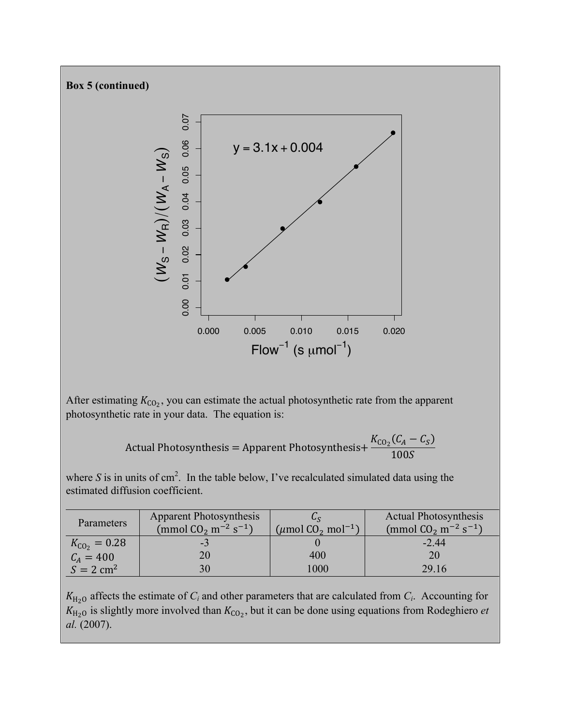

After estimating  $K_{C_0}$ , you can estimate the actual photosynthetic rate from the apparent photosynthetic rate in your data. The equation is:

Actual Photosynthesis = Apparent Photosynthesis+
$$
\frac{K_{\text{CO}_2}(C_A - C_S)}{100S}
$$

where S is in units of  $\text{cm}^2$ . In the table below, I've recalculated simulated data using the estimated diffusion coefficient.

| Parameters               | <b>Apparent Photosynthesis</b>                 |                                                | <b>Actual Photosynthesis</b>                   |
|--------------------------|------------------------------------------------|------------------------------------------------|------------------------------------------------|
|                          | (mmol $CO_2$ m <sup>-2</sup> s <sup>-1</sup> ) | $(\mu$ mol CO <sub>2</sub> mol <sup>-1</sup> ) | (mmol $CO_2$ m <sup>-2</sup> s <sup>-1</sup> ) |
| $K_{\text{CO}_2} = 0.28$ | - 3                                            |                                                | $-2.44$                                        |
| $C_A = 400$              | 20                                             | 400                                            | 20                                             |
| $S = 2$ cm <sup>2</sup>  | 30                                             | 1000                                           | 29.16                                          |

 $K_{\text{H}_2\text{O}}$  affects the estimate of  $C_i$  and other parameters that are calculated from  $C_i$ . Accounting for  $K_{H_2O}$  is slightly more involved than  $K_{CO_2}$ , but it can be done using equations from Rodeghiero *et al.* (2007).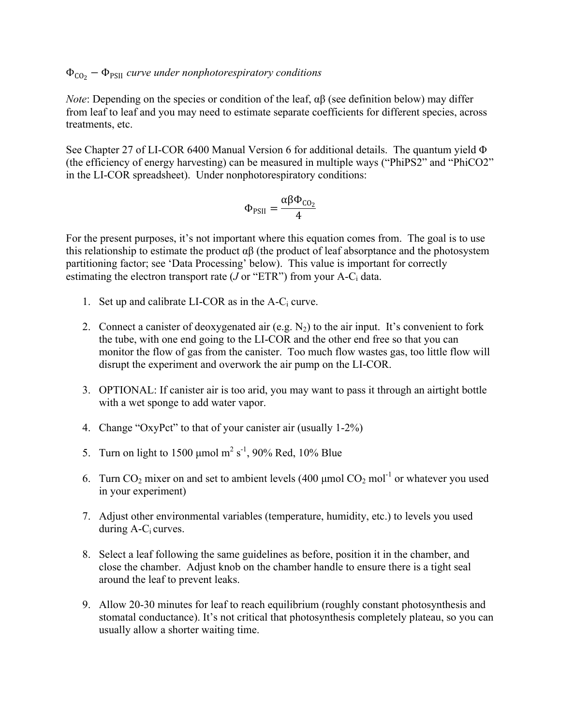## ΦCO2 − ΦPSII *curve under nonphotorespiratory conditions*

*Note*: Depending on the species or condition of the leaf, αβ (see definition below) may differ from leaf to leaf and you may need to estimate separate coefficients for different species, across treatments, etc.

See Chapter 27 of LI-COR 6400 Manual Version 6 for additional details. The quantum yield Φ (the efficiency of energy harvesting) can be measured in multiple ways ("PhiPS2" and "PhiCO2" in the LI-COR spreadsheet). Under nonphotorespiratory conditions:

$$
\Phi_{PSII} = \frac{\alpha \beta \Phi_{CO_2}}{4}
$$

For the present purposes, it's not important where this equation comes from. The goal is to use this relationship to estimate the product  $\alpha\beta$  (the product of leaf absorptance and the photosystem partitioning factor; see 'Data Processing' below). This value is important for correctly estimating the electron transport rate  $(J \text{ or } "ETR")$  from your A-C<sub>i</sub> data.

- 1. Set up and calibrate LI-COR as in the  $A-C_i$  curve.
- 2. Connect a canister of deoxygenated air (e.g.  $N_2$ ) to the air input. It's convenient to fork the tube, with one end going to the LI-COR and the other end free so that you can monitor the flow of gas from the canister. Too much flow wastes gas, too little flow will disrupt the experiment and overwork the air pump on the LI-COR.
- 3. OPTIONAL: If canister air is too arid, you may want to pass it through an airtight bottle with a wet sponge to add water vapor.
- 4. Change "OxyPct" to that of your canister air (usually 1-2%)
- 5. Turn on light to 1500 µmol  $m^2 s^{-1}$ , 90% Red, 10% Blue
- 6. Turn  $CO_2$  mixer on and set to ambient levels (400 µmol  $CO_2$  mol<sup>-1</sup> or whatever you used in your experiment)
- 7. Adjust other environmental variables (temperature, humidity, etc.) to levels you used during  $A-C<sub>i</sub>$  curves.
- 8. Select a leaf following the same guidelines as before, position it in the chamber, and close the chamber. Adjust knob on the chamber handle to ensure there is a tight seal around the leaf to prevent leaks.
- 9. Allow 20-30 minutes for leaf to reach equilibrium (roughly constant photosynthesis and stomatal conductance). It's not critical that photosynthesis completely plateau, so you can usually allow a shorter waiting time.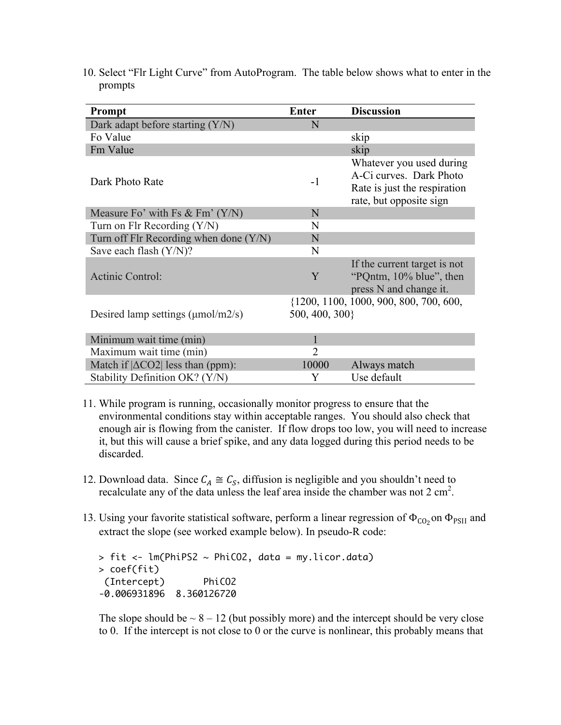| Prompt                                        | <b>Enter</b>   | <b>Discussion</b>                                                                                              |
|-----------------------------------------------|----------------|----------------------------------------------------------------------------------------------------------------|
| Dark adapt before starting $(Y/N)$            | N              |                                                                                                                |
| Fo Value                                      |                | skip                                                                                                           |
| Fm Value                                      |                | skip                                                                                                           |
| Dark Photo Rate                               | $-1$           | Whatever you used during<br>A-Ci curves. Dark Photo<br>Rate is just the respiration<br>rate, but opposite sign |
| Measure Fo' with Fs $& \text{Fm'} (Y/N)$      | N              |                                                                                                                |
| Turn on Flr Recording $(Y/N)$                 | N              |                                                                                                                |
| Turn off Flr Recording when done (Y/N)        | N              |                                                                                                                |
| Save each flash $(Y/N)$ ?                     | N              |                                                                                                                |
| Actinic Control:                              | Y              | If the current target is not<br>"PQntm, 10% blue", then<br>press N and change it.                              |
| Desired lamp settings $(\mu \text{mol/m2/s})$ | 500, 400, 300} | {1200, 1100, 1000, 900, 800, 700, 600,                                                                         |
| Minimum wait time (min)                       |                |                                                                                                                |
| Maximum wait time (min)                       | $\overline{2}$ |                                                                                                                |
| Match if $ \Delta CO2 $ less than (ppm):      | 10000          | Always match                                                                                                   |
| Stability Definition OK? (Y/N)                | Y              | Use default                                                                                                    |

10. Select "Flr Light Curve" from AutoProgram. The table below shows what to enter in the prompts

- 11. While program is running, occasionally monitor progress to ensure that the environmental conditions stay within acceptable ranges. You should also check that enough air is flowing from the canister. If flow drops too low, you will need to increase it, but this will cause a brief spike, and any data logged during this period needs to be discarded.
- 12. Download data. Since  $C_A \cong C_S$ , diffusion is negligible and you shouldn't need to recalculate any of the data unless the leaf area inside the chamber was not  $2 \text{ cm}^2$ .
- 13. Using your favorite statistical software, perform a linear regression of  $\Phi_{C_0}$  on  $\Phi_{PSII}$  and extract the slope (see worked example below). In pseudo-R code:

 $>$  fit  $<-$  lm(PhiPS2  $\sim$  PhiCO2, data = my.licor.data) > coef(fit) (Intercept) PhiCO2 -0.006931896 8.360126720

The slope should be  $\sim 8 - 12$  (but possibly more) and the intercept should be very close to 0. If the intercept is not close to 0 or the curve is nonlinear, this probably means that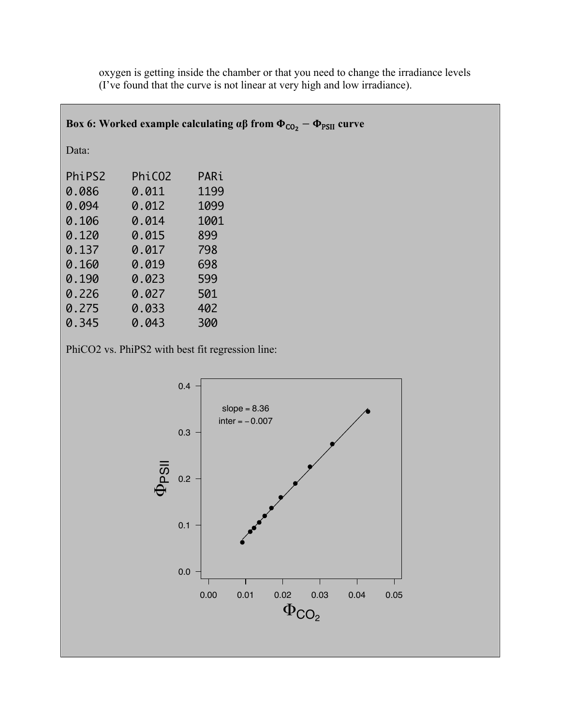|        |                    | Box 6: Worked example calculating $\alpha\beta$ from $\Phi_{\text{CO}_2} - \Phi_{\text{PSII}}$ curve |
|--------|--------------------|------------------------------------------------------------------------------------------------------|
| Data:  |                    |                                                                                                      |
| PhiPS2 | PhiC <sub>02</sub> | PARi                                                                                                 |
| 0.086  | 0.011              | 1199                                                                                                 |
| 0.094  | 0.012              | 1099                                                                                                 |
| 0.106  | 0.014              | 1001                                                                                                 |
| 0.120  | 0.015              | 899                                                                                                  |
| 0.137  | 0.017              | 798                                                                                                  |
| 0.160  | 0.019              | 698                                                                                                  |
| 0.190  | 0.023              | 599                                                                                                  |
| 0.226  | 0.027              | 501                                                                                                  |
| 0.275  | 0.033              | 402                                                                                                  |
| 0.345  | 0.043              | 300                                                                                                  |

oxygen is getting inside the chamber or that you need to change the irradiance levels (I've found that the curve is not linear at very high and low irradiance).

PhiCO2 vs. PhiPS2 with best fit regression line:

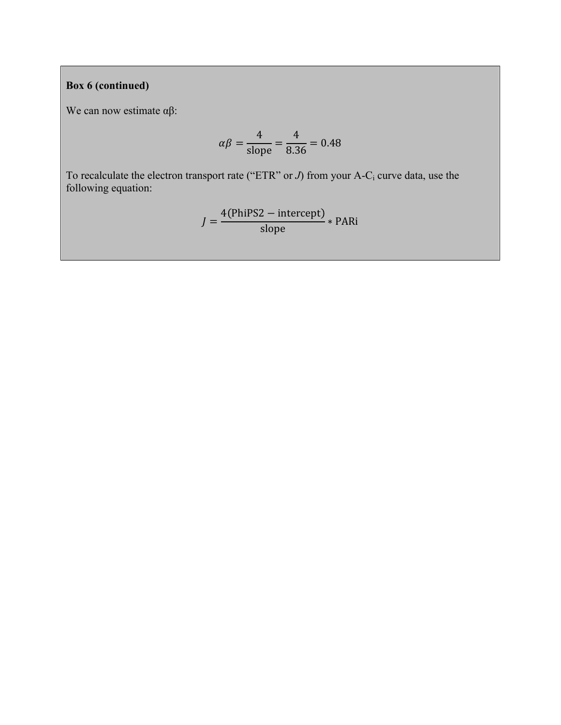# **Box 6 (continued)**

We can now estimate αβ:

$$
\alpha \beta = \frac{4}{\text{slope}} = \frac{4}{8.36} = 0.48
$$

To recalculate the electron transport rate ("ETR" or *J*) from your A-C<sub>i</sub> curve data, use the following equation:

$$
J = \frac{4(\text{PhiPS2} - \text{intercept})}{\text{slope}} * \text{PARi}
$$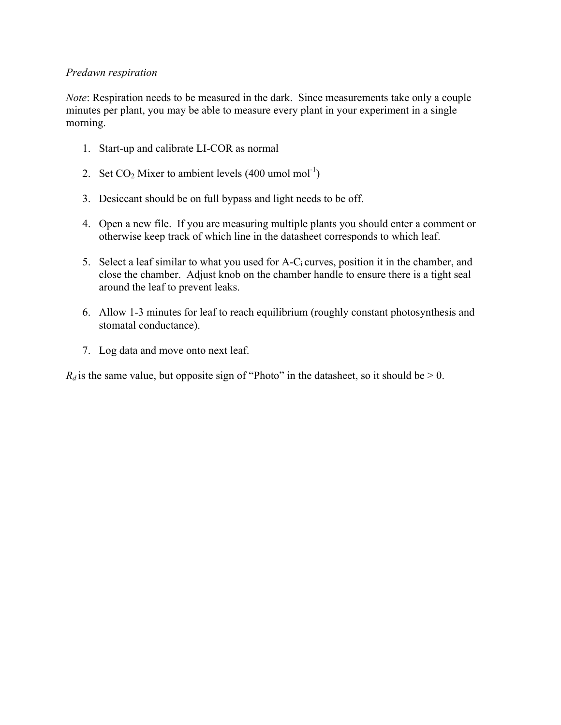### *Predawn respiration*

*Note*: Respiration needs to be measured in the dark. Since measurements take only a couple minutes per plant, you may be able to measure every plant in your experiment in a single morning.

- 1. Start-up and calibrate LI-COR as normal
- 2. Set  $CO_2$  Mixer to ambient levels (400 umol mol<sup>-1</sup>)
- 3. Desiccant should be on full bypass and light needs to be off.
- 4. Open a new file. If you are measuring multiple plants you should enter a comment or otherwise keep track of which line in the datasheet corresponds to which leaf.
- 5. Select a leaf similar to what you used for  $A-C_i$  curves, position it in the chamber, and close the chamber. Adjust knob on the chamber handle to ensure there is a tight seal around the leaf to prevent leaks.
- 6. Allow 1-3 minutes for leaf to reach equilibrium (roughly constant photosynthesis and stomatal conductance).
- 7. Log data and move onto next leaf.

 $R_d$  is the same value, but opposite sign of "Photo" in the datasheet, so it should be  $> 0$ .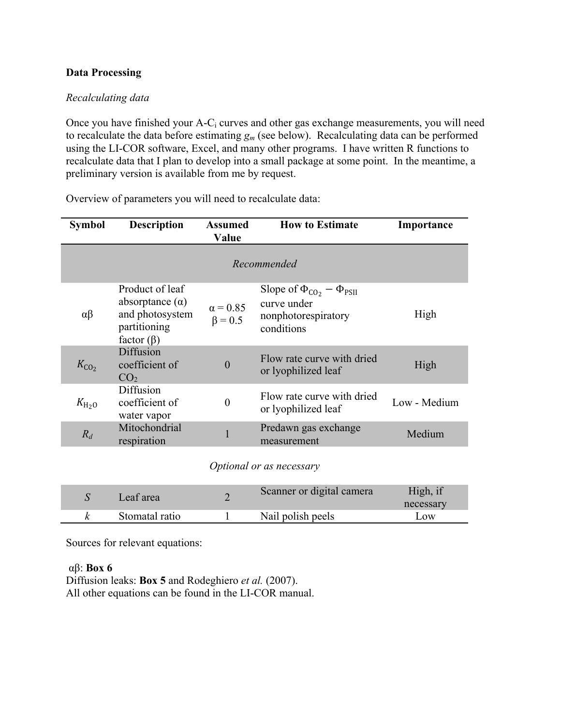### **Data Processing**

### *Recalculating data*

Once you have finished your A-Ci curves and other gas exchange measurements, you will need to recalculate the data before estimating  $g_m$  (see below). Recalculating data can be performed using the LI-COR software, Excel, and many other programs. I have written R functions to recalculate data that I plan to develop into a small package at some point. In the meantime, a preliminary version is available from me by request.

| <b>Symbol</b>            | <b>Description</b>                                                                               | Assumed<br>Value                 | <b>How to Estimate</b>                                                                   | Importance   |  |
|--------------------------|--------------------------------------------------------------------------------------------------|----------------------------------|------------------------------------------------------------------------------------------|--------------|--|
| Recommended              |                                                                                                  |                                  |                                                                                          |              |  |
| $\alpha\beta$            | Product of leaf<br>absorptance $(\alpha)$<br>and photosystem<br>partitioning<br>factor $(\beta)$ | $\alpha$ = 0.85<br>$\beta = 0.5$ | Slope of $\Phi_{CO_2} - \Phi_{PSII}$<br>curve under<br>nonphotorespiratory<br>conditions | High         |  |
| $K_{CO2}$                | Diffusion<br>coefficient of<br>CO <sub>2</sub>                                                   | $\boldsymbol{0}$                 | Flow rate curve with dried<br>or lyophilized leaf                                        | High         |  |
| $K_{\text{H}_2\text{O}}$ | Diffusion<br>coefficient of<br>water vapor                                                       | $\boldsymbol{0}$                 | Flow rate curve with dried<br>or lyophilized leaf                                        | Low - Medium |  |
| $R_d$                    | Mitochondrial<br>respiration                                                                     | $\mathbf{1}$                     | Predawn gas exchange<br>measurement                                                      | Medium       |  |
|                          |                                                                                                  |                                  | Optional or as necessary                                                                 |              |  |

Overview of parameters you will need to recalculate data:

| Leaf area      | Scanner or digital camera | High, if<br>necessary |
|----------------|---------------------------|-----------------------|
| Stomatal ratio | Nail polish peels         | $\Omega$              |

Sources for relevant equations:

#### αβ: **Box 6**

Diffusion leaks: **Box 5** and Rodeghiero *et al.* (2007). All other equations can be found in the LI-COR manual.